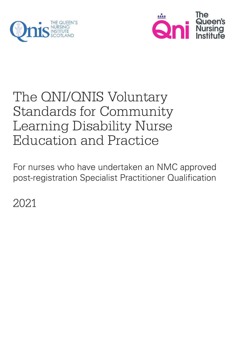



# The QNI/QNIS Voluntary Standards for Community Learning Disability Nurse Education and Practice

For nurses who have undertaken an NMC approved post-registration Specialist Practitioner Qualification

2021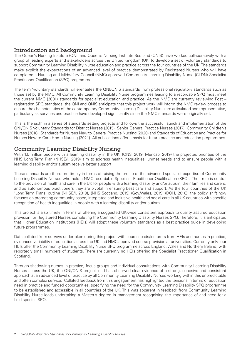### Introduction and background

The Queen's Nursing Institute (QNI) and Queen's Nursing Institute Scotland (QNIS) have worked collaboratively with a group of leading experts and stakeholders across the United Kingdom (UK) to develop a set of voluntary standards to support Community Learning Disability Nurse education and practice across the four countries of the UK. The standards make explicit the expectations of an advanced level of practice demonstrated by Registered Nurses who will have completed a Nursing and Midwifery Council (NMC) approved Community Learning Disability Nurse (CLDN) Specialist Practitioner Qualification (SPQ) programme.

The term 'voluntary standards' differentiates the QNI/QNIS standards from professional regulatory standards such as those set by the NMC. All Community Learning Disability Nurse programmes leading to a recordable SPQ must meet the current NMC (2001) standards for specialist education and practice. As the NMC are currently reviewing Post – registration SPQ standards, the QNI and QNIS anticipate that this project work will inform the NMC review process to ensure the characteristics of the contemporary Community Learning Disability Nurse are articulated and representative, particularly as services and practice have developed significantly since the NMC standards were originally set.

This is the sixth in a series of standards setting projects and follows the successful launch and implementation of the QNI/QNIS Voluntary Standards for District Nurses (2015), Senior General Practice Nurses (2017), Community Children's Nurses (2018), Standards for Nurses New to General Practice Nursing (2020) and Standards of Education and Practice for Nurses New to Care Home Nursing (2021). All publications offer a basis for future practice and education programmes.

#### Community Learning Disability Nursing

With 1.5 million people with a learning disability in the UK, (ONS, 2019; Mencap, 2019) the projected priorities of the NHS Long Term Plan (NHSE/I, 2019) aim to address health inequalities, unmet needs and to ensure people with a learning disability and/or autism receive better support.

These standards are therefore timely in terms of raising the profile of the advanced specialist expertise of Community Learning Disability Nurses who hold a NMC recordable Specialist Practitioner Qualification (SPQ). Their role is central to the provision of health and care in the UK for people with a learning disability and/or autism, their families and carers, and as autonomous practitioners they are pivotal in ensuring best care and support. As the four countries of the UK 'Long Term Plans' outline (NHSE/I, 2019), (NHS Scotland, 2019) (Gov.Wales, 2019) (DOH, 2016), the policy shift now focuses on promoting community based, integrated and inclusive health and social care in all UK countries with specific recognition of health inequalities in people with a learning disability and/or autism.

This project is also timely in terms of offering a suggested UK-wide consistent approach to quality assured education provision for Registered Nurses completing the Community Learning Disability Nurses SPQ. Therefore, it is anticipated that Higher Education Institutions (HEIs) will adopt these voluntary standards as a best practice guide in developing future programmes.

Data collated from surveys undertaken during this project with course leads/lecturers from HEIs and nurses in practice, evidenced variability of education across the UK and NMC approved course provision at universities. Currently only four HEIs offer the Community Learning Disability Nurse SPQ programme across England, Wales and Northern Ireland, with reportedly small numbers of students. There are currently no HEIs offering the Specialist Practitioner Qualification in Scotland.

Through shadowing nurses in practice, focus groups and individual consultations with Community Learning Disability Nurses across the UK, the QNI/QNIS project lead has observed clear evidence of a strong, cohesive and consistent approach at an advanced level of practice by all Community Learning Disability Nurses working within this unpredictable and often complex service. Collated feedback from this engagement has highlighted the tensions in terms of education need in practice and funded opportunities, specifying the need for the Community Learning Disability SPQ programme to be established and accessible in all countries of the UK. This was apparent in feedback from Community Learning Disability Nurse leads undertaking a Master's degree in management recognising the importance of and need for a field-specific SPQ.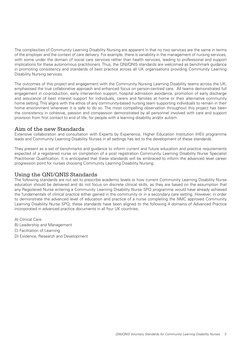The complexities of Community Learning Disability Nursing are apparent in that no two services are the same in terms of the employer and the context of care delivery. For example, there is variability in the management of nursing services, with some under the domain of social care services rather than health services, leading to professional and support implications for these autonomous practitioners. Thus, the QNI/QNIS standards are welcomed as benchmark guidance in promoting consistency and standards of best practice across all UK organisations providing Community Learning Disability Nursing services.

The outcomes of this project and engagement with the Community Nursing Learning Disability teams across the UK, emphasised the true collaborative approach and enhanced focus on person-centred care. All teams demonstrated full engagement in co-production, early intervention support, hospital admission avoidance, promotion of early discharge and assurance of best interest support for individuals, carers and families at home or their alternative community home setting. This aligns with the ethos of any community-based nursing team supporting individuals to remain in their home environment whenever it is safe to do so. The most compelling observation throughout this project has been the consistency in cohesive, passion and compassion demonstrated by all personnel involved with care and support provision from first contact to end of life, for people with a learning disability and/or autism.

#### Aim of the new Standards

Extensive collaboration and consultation with Experts by Experience, Higher Education Institution (HEI) programme leads and Community Learning Disability Nurses in all settings has led to the development of these standards.

They present as a set of benchmarks and guidance to inform current and future education and practice requirements expected of a registered nurse on completion of a post registration Community Learning Disability Nurse Specialist Practitioner Qualification. It is anticipated that these standards will be embraced to inform the advanced level career progression point for nurses choosing Community Learning Disability Nursing.

## Using the QNI/QNIS Standards

The following standards are not set to prescribe academic levels or how current Community Learning Disability Nurse education should be delivered and do not focus on discrete clinical skills, as they are based on the assumption that any Registered Nurse entering a Community Learning Disability Nurse SPQ programme would have already achieved the fundamentals of clinical practice either gained in the community or in a secondary care setting. However, in order to demonstrate the advanced level of education and practice of a nurse completing the NMC approved Community Learning Disability Nurse SPQ, these standards have been aligned to the following 4 domains of Advanced Practice incorporated in advanced practice documents in all four UK countries:

- A) Clinical Care
- B) Leadership and Management
- C) Facilitation of Learning
- D) Evidence, Research and Development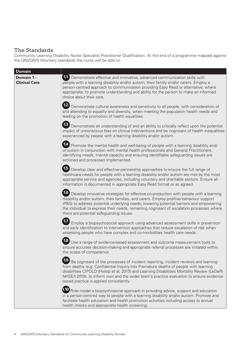## The Standards

Community Learning Disability Nurse Specialist Practitioner Qualification. At the end of a programme mapped against the QNI/QNIS Voluntary standards the nurse will be able to:

| <b>Domain</b>                      |                                                                                                                                                                                                                                                                                                                                                                                                                         |
|------------------------------------|-------------------------------------------------------------------------------------------------------------------------------------------------------------------------------------------------------------------------------------------------------------------------------------------------------------------------------------------------------------------------------------------------------------------------|
| Domain 1 -<br><b>Clinical Care</b> | 1. Demonstrate effective and innovative, advanced communication skills with<br>people with a learning disability and/or autism, their family and/or carers. Employ a<br>person-centred approach to communication providing Easy Read or alternative, where<br>appropriate, to promote understanding and ability for the person to make an informed<br>choice about their care.                                          |
|                                    | 12<br>Demonstrate cultural awareness and sensitivity to all people, with consideration of<br>and attending to equality and diversity, when meeting the population health needs and<br>leading on the promotion of health equalities.                                                                                                                                                                                    |
|                                    | Demonstrate an understanding of and an ability to critically reflect upon the potential<br>impact of unconscious bias on clinical interventions and be cognisant of health inequalities<br>experienced by people with a learning disability and/or autism.                                                                                                                                                              |
|                                    | 14 Promote the mental health and well-being of people with a learning disability and/<br>or autism in conjunction with mental health professionals and General Practitioners,<br>identifying needs, mental capacity and ensuring identifiable safeguarding issues are<br>actioned and processes implemented.                                                                                                            |
|                                    | 1.5 Develop clear and effective partnership approaches to ensure the full range of<br>healthcare needs for people with a learning disability and/or autism are met by the most<br>appropriate service and agencies, including voluntary and charitable sectors. Ensure all<br>information is documented in appropriate Easy Read format or as agreed.                                                                   |
|                                    | 1.6 Develop innovative strategies for effective co-production with people with a learning<br>disability and/or autism, their families, and carers. Employ positive behaviour support<br>(PBS) to address potential underlying needs, lowering potential barriers and empowering<br>the individual to express their needs, remaining cognisant of escalation processes where<br>there are potential safeguarding issues. |
|                                    | Employ a biopsychosocial approach using advanced assessment skills in prevention<br>and early identification to intervention approaches that reduce escalation of risk when<br>assessing people who have complex and co-morbidities health care needs.                                                                                                                                                                  |
|                                    | Use a range of evidence-based assessment and outcome measurement tools to<br>ensure accurate decision-making and appropriate referral processes are initiated within<br>the scope of competence.                                                                                                                                                                                                                        |
|                                    | 1.9 Be cognisant of the processes of incident reporting, incident reviews and learning<br>from deaths (e.g. Confidential Inquiry into Premature deaths of people with learning<br>disabilities CIPOLD (Hislop et al, 2013) and Learning Disabilities Mortality Review (LeDeR)<br>NHSE/I 2019), to inform own and the wider team's practice evaluation to ensure evidence-<br>based practice is applied consistently.    |
|                                    | 1.10 Role model a biopsychosocial approach in providing advice, support and education<br>in a person-centred way to people with a learning disability and/or autism. Promote and<br>facilitate health education and health promotion activities including access to annual<br>health checks and appropriate health screening.                                                                                           |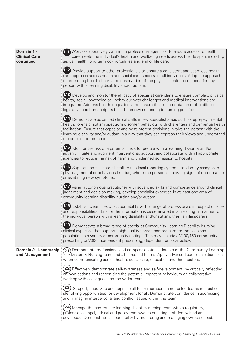| Domain 1 -<br><b>Clinical Care</b><br>continued | 1.11 Work collaboratively with multi professional agencies, to ensure access to health<br>care meets the individual's health and wellbeing needs across the life span, including<br>sexual health, long term co-morbidities and end of life care.                                                                                                                                                                |
|-------------------------------------------------|------------------------------------------------------------------------------------------------------------------------------------------------------------------------------------------------------------------------------------------------------------------------------------------------------------------------------------------------------------------------------------------------------------------|
|                                                 | 1.12 Provide support to other professionals to ensure a consistent and seamless health<br>care approach across health and social care sectors for all individuals. Adopt an approach<br>to promoting health checks and observation of the physical health care needs for any<br>person with a learning disability and/or autism.                                                                                 |
|                                                 | 1.13 Develop and monitor the efficacy of specialist care plans to ensure complex, physical<br>health, social, psychological, behaviour with challenges and medical interventions are<br>integrated. Address health inequalities and ensure the implementation of the different<br>legislative and human rights-based frameworks underpin nursing practice.                                                       |
|                                                 | 1.14 Demonstrate advanced clinical skills in key specialist areas such as epilepsy, mental<br>health, forensic, autism spectrum disorder, behaviour with challenges and dementia health<br>facilitation. Ensure that capacity and best interest decisions involve the person with the<br>learning disability and/or autism in a way that they can express their views and understand<br>the decision to be made. |
|                                                 | 1.15 Monitor the risk of a potential crisis for people with a learning disability and/or<br>autism. Initiate and augment interventions; support and collaborate with all appropriate<br>agencies to reduce the risk of harm and unplanned admission to hospital.                                                                                                                                                 |
|                                                 | 1.16 Support and facilitate all staff to use local reporting systems to identify changes in<br>physical, mental or behavioural status, where the person is showing signs of deterioration<br>or exhibiting new symptoms.                                                                                                                                                                                         |
|                                                 | 1.17 As an autonomous practitioner with advanced skills and competence around clinical<br>judgement and decision making, develop specialist expertise in at least one area of<br>community learning disability nursing and/or autism.                                                                                                                                                                            |
|                                                 | 1.18 Establish clear lines of accountability with a range of professionals in respect of roles<br>and responsibilities. Ensure the information is disseminated in a meaningful manner to<br>the individual person with a learning disability and/or autism, their families/carers.                                                                                                                               |
|                                                 | (1.19)<br>Demonstrate a broad range of specialist Community Learning Disability Nursing<br>clinical expertise that supports high quality person-centred care for the caseload<br>population in a variety of community settings. This may include a V100/150 community<br>prescribing or V300 independent prescribing, dependent on local policy.                                                                 |
| Domain 2 - Leadership<br>and Management         | $(2.1)$ Demonstrate professional and compassionate leadership of the Community Learning<br>Disability Nursing team and all nurse led teams. Apply advanced communication skills<br>when communicating across health, social care, education and third sectors.                                                                                                                                                   |
|                                                 | Effectively demonstrate self-awareness and self-development, by critically reflecting<br>on own actions and recognising the potential impact of behaviours on collaborative<br>working with colleagues and the wider team.                                                                                                                                                                                       |
|                                                 | Support, supervise and appraise all team members in nurse led teams in practice,<br>identifying opportunities for development for all. Demonstrate confidence in addressing<br>and managing interpersonal and conflict issues within the team.                                                                                                                                                                   |
|                                                 | 2.4)<br>Manage the community learning disability nursing team within regulatory,<br>professional, legal, ethical and policy frameworks ensuring staff feel valued and<br>developed. Demonstrate accountability by monitoring and managing own case load.                                                                                                                                                         |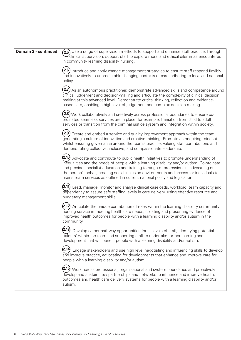| Domain 2 - continued | $(2.5)$ Use a range of supervision methods to support and enhance staff practice. Through<br>$\mathcal{\mathcal{L}}$ clinical supervision, support staff to explore moral and ethical dilemmas encountered<br>in community learning disability nursing.                                                                                                                                                                                                       |
|----------------------|---------------------------------------------------------------------------------------------------------------------------------------------------------------------------------------------------------------------------------------------------------------------------------------------------------------------------------------------------------------------------------------------------------------------------------------------------------------|
|                      | (2.6)<br>Introduce and apply change management strategies to ensure staff respond flexibly<br>and innovatively to unpredictable changing contexts of care, adhering to local and national<br>policy.                                                                                                                                                                                                                                                          |
|                      | (2.7)<br>As an autonomous practitioner, demonstrate advanced skills and competence around<br>clinical judgement and decision-making and articulate the complexity of clinical decision<br>making at this advanced level. Demonstrate critical thinking, reflection and evidence-<br>based care, enabling a high level of judgement and complex decision making.                                                                                               |
|                      | $\left( \text{2.8}\right)$ Work collaboratively and creatively across professional boundaries to ensure co-<br>ordinated seamless services are in place, for example, transition from child to adult<br>services or transition from the criminal justice system and integration within society.                                                                                                                                                               |
|                      | (2.9)<br>Create and embed a service and quality improvement approach within the team,<br>generating a culture of innovation and creative thinking. Promote an enquiring mindset<br>whilst ensuring governance around the team's practice, valuing staff contributions and<br>demonstrating collective, inclusive, and compassionate leadership.                                                                                                               |
|                      | $(2.10)$ Advocate and contribute to public health initiatives to promote understanding of<br>inequalities and the needs of people with a learning disability and/or autism. Co-ordinate<br>and provide specialist education and training to range of professionals, advocating on<br>the person's behalf, creating social inclusion environments and access for individuals to<br>mainstream services as outlined in current national policy and legislation. |
|                      | $\left(\text{2.11}\right)$ Lead, manage, monitor and analyse clinical caseloads, workload, team capacity and<br>dependency to assure safe staffing levels in care delivery, using effective resource and<br>budgetary management skills.                                                                                                                                                                                                                      |
|                      | $(2.12)$ Articulate the unique contribution of roles within the learning disability community<br>nursing service in meeting health care needs, collating and presenting evidence of<br>improved health outcomes for people with a learning disability and/or autism in the<br>community.                                                                                                                                                                      |
|                      | Develop career pathway opportunities for all levels of staff, identifying potential<br>'talents' within the team and supporting staff to undertake further learning and<br>development that will benefit people with a learning disability and/or autism.                                                                                                                                                                                                     |
|                      | (2.14)<br>Engage stakeholders and use high level negotiating and influencing skills to develop<br>and improve practice, advocating for developments that enhance and improve care for<br>people with a learning disability and/or autism.                                                                                                                                                                                                                     |
|                      | (2.15)<br>Work across professional, organisational and system boundaries and proactively<br>develop and sustain new partnerships and networks to influence and improve health,<br>outcomes and health care delivery systems for people with a learning disability and/or<br>autism.                                                                                                                                                                           |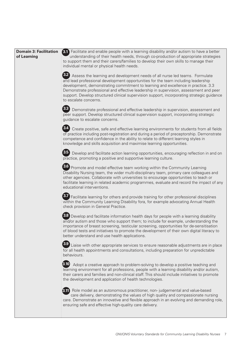| <b>Domain 3: Facilitation</b> |
|-------------------------------|
| of Learning                   |

3.1 Facilitate and enable people with a learning disability and/or autism to have a better **3.1** understanding of their health needs, through co-production of appropriate strategies to support them and their carers/families to develop their own skills to manage their individual mental or physical health needs.

3.2 Assess the learning and development needs of all nurse led teams. Formulate **3.2** and lead professional development opportunities for the team including leadership development, demonstrating commitment to learning and excellence in practice. 3.3 Demonstrate professional and effective leadership in supervision, assessment and peer support. Develop structured clinical supervision support, incorporating strategic guidance to escalate concerns.

3.3 Demonstrate professional and effective leadership in supervision, assessment and **3.3** peer support. Develop structured clinical supervision support, incorporating strategic guidance to escalate concerns.

3.4 Create positive, safe and effective learning environments for students from all fields **3.4** of practice including post-registration and during a period of preceptorship. Demonstrate competence and confidence in the ability to relate to different learning styles in knowledge and skills acquisition and maximise learning opportunities.

3.5 Develop and facilitate action learning opportunities, encouraging reflection in and on **3.5** practice, promoting a positive and supportive learning culture.

3.6 Promote and model effective team working within the Community Learning **3.6** Disability Nursing team, the wider multi-disciplinary team, primary care colleagues and other agencies. Collaborate with universities to encourage opportunities to teach or facilitate learning in related academic programmes, evaluate and record the impact of any educational interventions.

3.7 Facilitate learning for others and provide training for other professional disciplines **3.7** within the Community Learning Disability fora, for example advocating Annual Health check provision in General Practice.

3.8 Develop and facilitate information health days for people with a learning disability **3.8** and/or autism and those who support them; to include for example, understanding the importance of breast screening, testicular screening, opportunities for de-sensitisation of blood tests and initiatives to promote the development of their own digital literacy to better understand and use health applications.

3.9 Liaise with other appropriate services to ensure reasonable adjustments are in place **3.9** for all health appointments and consultations, including preparation for unpredictable behaviours.

**3.10** Adopt a creative approach to problem-solving to develop a positive teaching and learning environment for all professions, people with a learning disability and/or autism, their carers and families and non-clinical staff. This should include initiatives to promote the development and application of health technologies.

 Role model as an autonomous practitioner, non- judgemental and value-based **3.11** care delivery, demonstrating the values of high quality and compassionate nursing care. Demonstrate an innovative and flexible approach in an evolving and demanding role, ensuring safe and effective high-quality care delivery.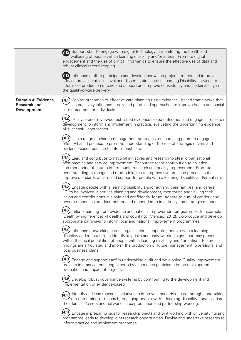|                                                                  | 3.12 Support staff to engage with digital technology in monitoring the health and<br>wellbeing of people with a learning disability and/or autism. Promote digital<br>engagement and the use of clinical informatics to ensure the effective use of data and<br>robust clinical record keeping.                                                                                                                                                              |
|------------------------------------------------------------------|--------------------------------------------------------------------------------------------------------------------------------------------------------------------------------------------------------------------------------------------------------------------------------------------------------------------------------------------------------------------------------------------------------------------------------------------------------------|
|                                                                  | 3.13 Influence staff to participate and develop innovation projects to test and improve<br>service provision at local level and dissemination across Learning Disability services to<br>inform co- production of care and support and improve consistency and sustainability in<br>the quality-of-care delivery.                                                                                                                                             |
| Domain 4: Evidence,<br><b>Research and</b><br><b>Development</b> | 4.1) Monitor outcomes of effective care planning using evidence - based frameworks that<br>can positively influence timely and prioritised approaches to improve health and social<br>care outcomes for individuals.                                                                                                                                                                                                                                         |
|                                                                  | 4.2<br>Analyse peer reviewed, published evidence-based outcomes and engage in research<br>development to inform and implement in practice, evaluating the underpinning evidence<br>of successful approaches.                                                                                                                                                                                                                                                 |
|                                                                  | $\left( 4.3\right)$ Use a range of change management strategies, encouraging peers to engage in<br>enquiry-based practice to promote understanding of the role of strategic drivers and<br>evidence-based practice to inform best care.                                                                                                                                                                                                                      |
|                                                                  | $\left(4.4\right)$ Lead and contribute to national initiatives and research to steer organisational<br>best practice and service improvement. Encourage team contribution to collation<br>and monitoring of data to inform audit, research and quality improvement. Promote<br>understanding of recognised methodologies to improve systems and processes that<br>improve standards of care and support for people with a learning disability and/or autism. |
|                                                                  | $\left( 4.5\right)$ Engage people with a learning disability and/or autism, their families, and carers<br>to be involved in service planning and development, monitoring and valuing their<br>views and contributions in a safe and confidential forum. Adhere to duty of candour and<br>ensure responses are documented and responded to in a timely and strategic manner.                                                                                  |
|                                                                  | Initiate learning from evidence and national improvement programmes, for example<br>'Death by indifference: 74 deaths and counting.' (Mencap, 2012). Co-produce and develop<br>appropriate pathways to inform local and national improvement programmes.                                                                                                                                                                                                     |
|                                                                  | $\rightarrow$<br>4.7) Influence networking across organisations supporting people with a learning<br>disability and /or autism, to identify key risks and early warning signs that may present<br>within the local population of people with a learning disability and / or autism. Ensure<br>findings are articulated and inform the production of future management, operational and<br>local business plans.                                              |
|                                                                  | 4.8<br>Engage and support staff in undertaking audit and developing Quality Improvement<br>projects in practice, ensuring experts by experience participate in the development,<br>evaluation and impact of projects.                                                                                                                                                                                                                                        |
|                                                                  | (4.9)<br>Develop robust governance systems by contributing to the development and<br>implementation of evidence-based                                                                                                                                                                                                                                                                                                                                        |
|                                                                  | $\left( \hspace{-0.1cm}4.10\right)$ Identify and lead research initiatives to improve standards of care through undertaking<br>or contributing to research, engaging people with a learning disability and/or autism,<br>their families/carers and networks in co-production and partnership working.                                                                                                                                                        |
|                                                                  | (4.11<br>Engage in preparing bids for research projects and joint working with university nursing<br>programme leads to develop joint research opportunities. Devise and undertake research to<br>inform practice and implement outcomes.                                                                                                                                                                                                                    |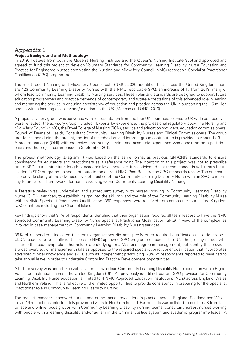#### Appendix 1 **Project: Background and Methodology**

In 2019, Trustees from both the Queen's Nursing Institute and the Queen's Nursing Institute Scotland approved and agreed to fund this project to develop Voluntary Standards for Community Learning Disability Nurse Education and Practice for Registered Nurses completing the Nursing and Midwifery Council (NMC) recordable Specialist Practitioner Qualification (SPQ) programme.

The most recent Nursing and Midwifery Council data (NMC, 2020) identifies that across the United Kingdom there are 423 Community Learning Disability Nurses with the NMC recordable SPQ, an increase of 17 from 2019, many of whom lead Community Learning Disability Nursing services. These voluntary standards are designed to support future education programmes and practice demands of contemporary and future expectations of this advanced role in leading and managing the service in ensuring consistency of education and practice across the UK in supporting the 1.5 million people with a learning disability and/or autism in the UK (Mencap and ONS, 2019).

A project advisory group was convened with representation from the four UK countries. To ensure UK wide perspectives were reflected, the advisory group included: Experts by experience, the professional regulatory body, the Nursing and Midwifery Council (NMC), the Royal College of Nursing (RCN), service and education providers, education commissioners, Council of Deans of Health, Consultant Community Learning Disability Nurses and Clinical Commissioners. The group met four times during the project, the list of stakeholders and interest group contributors is provided in Appendix 3. A project manager (QNI) with extensive community nursing and academic experience was appointed on a part time basis and the project commenced in September 2019.

The project methodology (Diagram 1) was based on the same format as previous QNI/QNIS standards to ensure consistency for educators and practitioners as a reference point. The intention of this project was not to prescribe future SPQ course structure, length or academic level; however, it is anticipated that these standards will inform future academic SPQ programmes and contribute to the current NMC Post-Registration SPQ standards review. The standards also provide clarity of the advanced level of practice of the Community Learning Disability Nurse with an SPQ to inform any future career frameworks for nurses working within Community Learning Disability Nursing.

A literature review was undertaken and subsequent survey with nurses working in Community Learning Disability Nurse (CLDN) services, to establish insight into the skill mix and the role of the Community Learning Disability Nurse with an NMC Specialist Practitioner Qualification. 360 responses were received from across the four United Kingdom (UK) countries including the Channel Islands.

Key findings show that 31% of respondents identified that their organisation required all team leaders to have the NMC approved Community Learning Disability Nurse Specialist Practitioner Qualification (SPQ) in view of the complexities involved in case management of Community Learning Disability Nursing services.

86% of respondents indicated that their organisations did not specify other required qualifications in order to be a CLDN leader due to insufficient access to NMC approved SPQ programmes across the UK. Thus, many nurses who assume the leadership role either hold or are studying for a Master's degree in management, but identify this provides a broad overview of management skills as opposed to the required specialist practitioner qualification that incorporates advanced clinical knowledge and skills, such as independent prescribing. 20% of respondents reported to have had to take annual leave in order to undertake Continuing Practice Development opportunities.

A further survey was undertaken with academics who lead Community Learning Disability Nurse education within Higher Education Institutions across the United Kingdom (UK). As previously identified, current SPQ provision for Community Learning Disability Nurse education is limited to 4 NMC Approved Education Institutions (AEIs) across England, Wales and Northern Ireland. This is reflective of the limited opportunities to provide consistency in preparing for the Specialist Practitioner role in Community Learning Disability Nursing.

The project manager shadowed nurses and nurse managers/leaders in practice across England, Scotland and Wales. Covid-19 restrictions unfortunately prevented visits to Northern Ireland. Further data was collated across the UK from face to face and online focus groups with Community Learning Disability nursing teams, consultant nurses, nurses working with people with a learning disability and/or autism in the Criminal Justice system and academic programme leads. A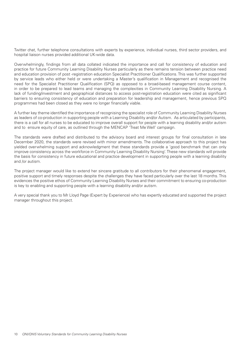Twitter chat, further telephone consultations with experts by experience, individual nurses, third sector providers, and hospital liaison nurses provided additional UK-wide data.

Overwhelmingly, findings from all data collated indicated the importance and call for consistency of education and practice for future Community Learning Disability Nurses particularly as there remains tension between practice need and education provision of post -registration education Specialist Practitioner Qualifications. This was further supported by service leads who either held or were undertaking a Master's qualification in Management and recognised the need for the Specialist Practitioner Qualification (SPQ) as opposed to a broad-based management course content, in order to be prepared to lead teams and managing the complexities in Community Learning Disability Nursing. A lack of funding/investment and geographical distances to access post-registration education were cited as significant barriers to ensuring consistency of education and preparation for leadership and management, hence previous SPQ programmes had been closed as they were no longer financially viable.

A further key theme identified the importance of recognising the specialist role of Community Learning Disability Nurses as leaders of co-production in supporting people with a Learning Disability and/or Autism. As articulated by participants, there is a call for all nurses to be educated to improve overall support for people with a learning disability and/or autism and to ensure equity of care, as outlined through the MENCAP 'Treat Me Well' campaign.

The standards were drafted and distributed to the advisory board and interest groups for final consultation in late December 2020, the standards were revised with minor amendments. The collaborative approach to this project has yielded overwhelming support and acknowledgment that these standards provide a 'good benchmark that can only improve consistency across the workforce in Community Learning Disability Nursing'. These new standards will provide the basis for consistency in future educational and practice development in supporting people with a learning disability and /or autism.

The project manager would like to extend her sincere gratitude to all contributors for their phenomenal engagement, positive support and timely responses despite the challenges they have faced particularly over the last 18 months. This evidences the positive ethos of Community Learning Disability Nurses and their commitment to ensuring co-production is key to enabling and supporting people with a learning disability and/or autism.

A very special thank you to Mr Lloyd Page (Expert by Experience) who has expertly educated and supported the project manager throughout this project.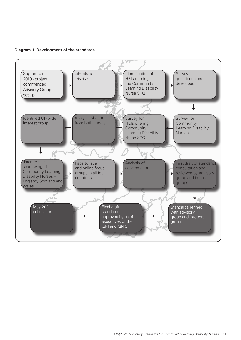**Diagram 1: Development of the standards** 

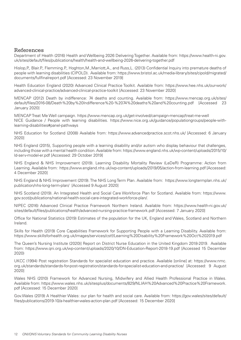#### References

Department of Health (2016) Health and Wellbeing 2026 Delivering Together. Available from: https://www.health-ni.gov. uk/sites/default/files/publications/health/health-and-wellbeing-2026-delivering-together.pdf

Hislop,P., Blair.P., Flemming.P., Hoghton,M.,Marriott,A., and Russ,L. (2013) Confidential Inquiry into premature deaths of people with learning disabilities (CIPOLD). Available from: https://www.bristol.ac.uk/media-library/sites/cipold/migrated/ documents/fullfinalreport.pdf [Accessed: 23 November 2019]

Health Education England (2020) Advanced Clinical Practice Toolkit. Available from: https://www.hee.nhs.uk/our-work/ advanced-clinical-practice/advanced-clinical-practice-toolkit [Accessed: 23 November 2020]

MENCAP (2012) Death by indifference: 74 deaths and counting. Available from: https://www.mencap.org.uk/sites/ default/files/2016-08/Death%20by%20Indifference%20-%2074%20deaths%20and%20counting.pdf [Accessed 23 January 2020]

MENCAP Treat Me Well campaign. https://www.mencap.org.uk/get-involved/campaign-mencap/treat-me-well NICE Guidance / People with learning disabilities. https://www.nice.org.uk/guidance/populationgroups/people-withlearning-disabilities#panel-pathways

NHS Education for Scotland (2008) Available from: https://www.advancedpractice.scot.nhs.uk/ [Accessed: 6 January 2020]

NHS England (2015), Supporting people with a learning disability and/or autism who display behaviour that challenges, including those with a mental health condition. Available from: https://www.england.nhs.uk/wp-content/uploads/2015/10/ ld-serv-model-er.pdf [Accessed: 29 October 2019]

NHS England & NHS Improvement (2019). Learning Disability Mortality Review (LeDeR) Programme: Action from Learning. Available from: https://www.england.nhs.uk/wp-content/uploads/2019/05/action-from-learning.pdf [Accessed: 4 December 2020]

NHS England & NHS Improvement (2019). The NHS Long Term Plan. Available from: https://www.longtermplan.nhs.uk/ publication/nhs-long-term-plan/ [Accessed 9 August 2020]

NHS Scotland (2019). An Integrated Health and Social Care Workforce Plan for Scotland. Available from: https://www. gov.scot/publications/national-health-social-care-integrated-workforce-plan/.

NIPEC (2016) Advanced Clinical Practice Framework Northern Ireland. Available from: https://www.health-ni.gov.uk/ sites/default/files/publications/health/advanced-nursing-practice-framework.pdf [Accessed: 7 January 2020]

Office for National Statistics (2019) Estimates of the population for the UK, England and Wales, Scotland and Northern Ireland.

Skills for Health (2019) Core Capabilities Framework for Supporting People with a Learning Disability. Available from: https://www.skillsforhealth.org.uk/images/services/cstf/Learning%20Disability%20Framework%20Oct%202019.pdf

The Queen's Nursing Institute (2020)] Report on District Nurse Education in the United Kingdom 2018-2019. Available from: https://www.qni.org.uk/wp-content/uploads/2020/10/DN-Education-Report-2018-19.pdf [Accessed 15 December 2020)

UKCC (1994) Post registration Standards for specialist education and practice. Available [online] at: https://www.nmc. org.uk/standards/standards-for-post-registration/standards-for-specialist-education-and-practice/ [Accessed: 9 August 2020]

Wales NHS (2010) Framework for Advanced Nursing, Midwifery and Allied Health Professional Practice in Wales. Available from: https://www.wales.nhs.uk/sitesplus/documents/829/NLIAH%20Advanced%20Practice%20Framework. pdf [Accessed: 15 December 2020]

Gov.Wales (2019) A Healthier Wales: our plan for health and social care. Available from: https://gov.wales/sites/default/ files/publications/2019-10/a-healthier-wales-action-plan.pdf [Accessed: 15 December 2020]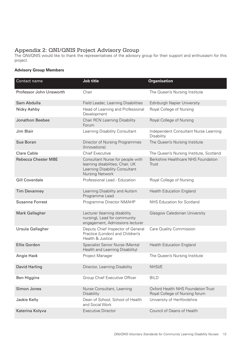## Appendix 2: QNI/QNIS Project Advisory Group

The QNI/QNIS would like to thank the representatives of the advisory group for their support and enthusiasm for this project.

#### **Advisory Group Members**

| Contact name               | Job title                                                                                                                        | <b>Organisation</b>                                                  |
|----------------------------|----------------------------------------------------------------------------------------------------------------------------------|----------------------------------------------------------------------|
| Professor John Unsworth    | Chair                                                                                                                            | The Queen's Nursing Institute                                        |
| Sam Abdulla                | Field Leader, Learning Disabilities                                                                                              | Edinburgh Napier University                                          |
| Nicky Ashby                | Head of Learning and Professional<br>Development                                                                                 | Royal College of Nursing                                             |
| <b>Jonathon Beebee</b>     | Chair RCN Learning Disability<br>Forum                                                                                           | Royal College of Nursing                                             |
| Jim Blair                  | Learning Disability Consultant                                                                                                   | Independent Consultant Nurse Learning<br>Disability                  |
| Sue Boran                  | Director of Nursing Programmes<br>(Innovations)                                                                                  | The Queen's Nursing Institute                                        |
| <b>Clare Cable</b>         | <b>Chief Executive</b>                                                                                                           | The Queen's Nursing Institute, Scotland                              |
| <b>Rebecca Chester MBE</b> | Consultant Nurse for people with<br>learning disabilities; Chair, UK<br>Learning Disability Consultant<br><b>Nursing Network</b> | Berkshire Healthcare NHS Foundation<br>Trust                         |
| <b>Gill Coverdale</b>      | Professional Lead - Education                                                                                                    | Royal College of Nursing                                             |
| <b>Tim Devanney</b>        | Learning Disability and Autism<br>Programme Lead                                                                                 | <b>Health Education England</b>                                      |
| <b>Susanne Forrest</b>     | Programme Director NMAHP                                                                                                         | NHS Education for Scotland                                           |
| <b>Mark Gallagher</b>      | Lecturer (learning disability<br>nursing), Lead for community<br>engagement, Admissions lecturer                                 | Glasgow Caledonian University                                        |
| Ursula Gallagher           | Deputy Chief Inspector of General<br>Practice (London) and Children's<br>Health & Justice                                        | Care Quality Commission                                              |
| <b>Ellie Gordon</b>        | Specialist Senior Nurse (Mental<br>Health and Learning Disability)                                                               | Health Education England                                             |
| Angie Hack                 | Project Manager                                                                                                                  | The Queen's Nursing Institute                                        |
| <b>David Harling</b>       | Director, Learning Disability                                                                                                    | NHSI/E                                                               |
| Ben Higgins                | Group Chief Executive Officer                                                                                                    | <b>BILD</b>                                                          |
| Simon Jones                | Nurse Consultant, Learning<br>Disability                                                                                         | Oxford Health NHS Foundation Trust<br>Royal College of Nursing forum |
| Jackie Kelly               | Dean of School, School of Health<br>and Social Work                                                                              | University of Hertfordshire                                          |
| Katerina Kolyva            | <b>Executive Director</b>                                                                                                        | Council of Deans of Health                                           |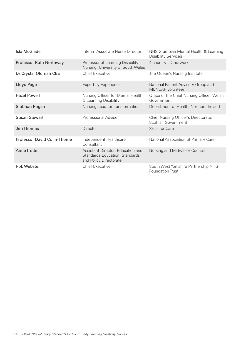| Isla McGlade                | Interim Associate Nurse Director                                                              | NHS Grampian Mental Health & Learning<br><b>Disability Services</b> |
|-----------------------------|-----------------------------------------------------------------------------------------------|---------------------------------------------------------------------|
| Professor Ruth Northway     | Professor of Learning Disability<br>Nursing, University of South Wales                        | 4 country LD network                                                |
| Dr Crystal Oldman CBE       | <b>Chief Executive</b>                                                                        | The Queen's Nursing Institute                                       |
| Lloyd Page                  | <b>Expert by Experience</b>                                                                   | National Patient Advisory Group and<br>MENCAP volunteer             |
| <b>Hazel Powell</b>         | Nursing Officer for Mental Health<br>& Learning Disability                                    | Office of the Chief Nursing Officer, Welsh<br>Government            |
| Siobhan Rogan               | Nursing Lead for Transformation                                                               | Department of Health, Northern Ireland                              |
| <b>Susan Stewart</b>        | Professional Adviser                                                                          | Chief Nursing Officer's Directorate,<br>Scottish Government         |
| Jim Thomas                  | <b>Director</b>                                                                               | Skills for Care                                                     |
| Professor David Colin-Thomé | Independent Healthcare<br>Consultant                                                          | National Association of Primary Care                                |
| Anne Trotter                | Assistant Director: Education and<br>Standards Education, Standards<br>and Policy Directorate | Nursing and Midwifery Council                                       |
| <b>Rob Webster</b>          | <b>Chief Executive</b>                                                                        | South West Yorkshire Partnership NHS<br><b>Foundation Trust</b>     |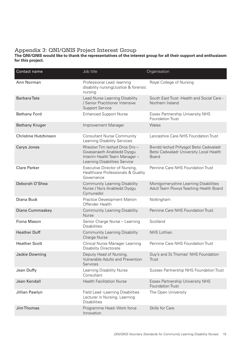## Appendix 3: QNI/QNIS Project Interest Group

**The QNI/QNIS would like to thank the representatives of the interest group for all their support and enthusiasm for this project.**

| Contact name                | Job title                                                                                                                    | Organisation                                                                                      |
|-----------------------------|------------------------------------------------------------------------------------------------------------------------------|---------------------------------------------------------------------------------------------------|
| Ann Norman                  | Professional Lead -learning<br>disability nursing/Justice & forensic<br>nursing                                              | Royal College of Nursing                                                                          |
| <b>Barbara</b> Tate         | Lead Nurse Learning Disability<br>/ Senior Practitioner Intensive<br><b>Support Service</b>                                  | South East Trust - Health and Social Care -<br>Northern Ireland                                   |
| <b>Bethany Ford</b>         | <b>Enhanced Support Nurse</b>                                                                                                | <b>Essex Partnership University NHS</b><br><b>Foundation Trust</b>                                |
| <b>Bethany Kruger</b>       | Improvement Manager                                                                                                          | Wales                                                                                             |
| <b>Christine Hutchinson</b> | <b>Consultant Nurse Community</b><br>Learning Disability Services                                                            | Lancashire Care NHS Foundation Trust                                                              |
| Carys Jones                 | Rheolwr Tim lechyd Dros Dro -<br>Gwasanaeth Anabledd Dysgu<br>Interim Health Team Manager -<br>Learning Disabilities Service | Bwrdd lechyd Prifysgol Betsi Cadwaladr<br>Betsi Cadwaladr University Local Health<br><b>Board</b> |
| <b>Clare Parker</b>         | Executive Director of Nursing,<br>Healthcare Professionals & Quality<br>Governance                                           | Pennine Care NHS Foundation Trust                                                                 |
| Deborah O'Shea              | <b>Community Learning Disability</b><br>Nurse / Nyrs Anabledd Dysgu<br>Cymunedol                                             | Montgomeryshire Learning Disabilities<br>Adult Team Powys Teaching Health Board                   |
| Diana Buck                  | Practice Development Matron<br>Offender Health                                                                               | Nottingham                                                                                        |
| Diane Cummaskey             | <b>Community Learning Disability</b><br><b>Nurse</b>                                                                         | Pennine Care NHS Foundation Trust                                                                 |
| Fiona Mason                 | Senior Charge Nurse - Learning<br><b>Disabilities</b>                                                                        | Scotland                                                                                          |
| <b>Heather Duff</b>         | <b>Community Learning Disability</b><br>Charge Nurse                                                                         | NHS Lothian                                                                                       |
| <b>Heather Scott</b>        | <b>Clinical Nurse Manager Learning</b><br><b>Disability Directorate</b>                                                      | Pennine Care NHS Foundation Trust                                                                 |
| Jackie Downing              | Deputy Head of Nursing,<br><b>Vulnerable Adults and Prevention</b><br>Services                                               | Guy's and St. Thomas' NHS Foundation<br>Trust                                                     |
| Jean Duffy                  | Learning Disability Nurse<br>Consultant                                                                                      | Sussex Partnership NHS Foundation Trust                                                           |
| Jean Kendall                | <b>Health Facilitation Nurse</b>                                                                                             | <b>Essex Partnership University NHS</b><br><b>Foundation Trust</b>                                |
| Jillian Pawlyn              | Field Lead -Learning Disabilities<br>Lecturer in Nursing, Learning<br><b>Disabilities</b>                                    | The Open University                                                                               |
| Jim Thomas                  | Programme Head -Work force<br>Innovation                                                                                     | Skills for Care                                                                                   |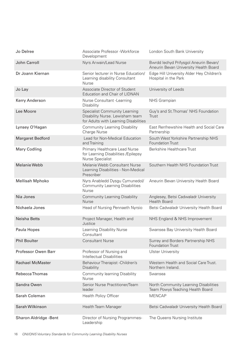| Jo Delree               | Associate Professor - Workforce<br>Development                                                                   | London South Bank University                                                   |
|-------------------------|------------------------------------------------------------------------------------------------------------------|--------------------------------------------------------------------------------|
| John Carroll            | Nyrs Arwain/Lead Nurse                                                                                           | Bwrdd lechyd Prifysgol Aneurin Bevan/<br>Aneurin Bevan University Health Board |
| Dr Joann Kiernan        | Senior lecturer in Nurse Education/<br>Learning disability Consultant<br><b>Nurse</b>                            | Edge Hill University Alder Hey Children's<br>Hospital in the Park              |
| Jo Lay                  | Associate Director of Student<br><b>Education and Chair of LIDNAN</b>                                            | University of Leeds                                                            |
| Kerry Anderson          | Nurse Consultant - Learning<br>Disability                                                                        | NHS Grampian                                                                   |
| Lee Moore               | <b>Specialist Community Learning</b><br>Disability Nurse. Lewisham team<br>for Adults with Learning Disabilities | Guy's and St. Thomas' NHS Foundation<br>Trust                                  |
| Lynsey O'Hagan          | <b>Community Learning Disability</b><br>Charge Nurse                                                             | East Renfrewshire Health and Social Care<br>Partnership                        |
| <b>Margaret Bedford</b> | Lead for Non-Medical Education<br>and Training                                                                   | South West Yorkshire Partnership NHS<br><b>Foundation Trust</b>                |
| <b>Mary Codling</b>     | Primary Healthcare Lead Nurse<br>for Learning Disabilities / Epilepsy<br>Nurse Specialist                        | <b>Berkshire Healthcare Trust</b>                                              |
| <b>Melanie Webb</b>     | Melanie Webb Consultant Nurse<br>Learning Disabilities - Non-Medical<br>Prescriber                               | Southern Health NHS Foundation Trust                                           |
| <b>Mellisah Mphoko</b>  | Nyrs Anabledd Dysgu Cymunedol/<br><b>Community Learning Disabilities</b><br><b>Nurse</b>                         | Aneurin Bevan University Health Board                                          |
| Nia Jones               | <b>Community Learning Disability</b><br><b>Nurse</b>                                                             | Anglesey, Betsi Cadwaladr University<br><b>Health Board</b>                    |
| Nichaela Jones          | Head of Nursing Pennaeth Nyrsio                                                                                  | Betsi Cadwaladr University Health Board                                        |
| <b>Neisha Betts</b>     | Project Manager, Health and<br>Justice                                                                           | NHS England & NHS Improvement                                                  |
| Paula Hopes             | Learning Disability Nurse<br>Consultant                                                                          | Swansea Bay University Health Board                                            |
| <b>Phil Boulter</b>     | <b>Consultant Nurse</b>                                                                                          | Surrey and Borders Partnership NHS<br><b>Foundation Trust</b>                  |
| Professor Owen Barr     | Professor of Nursing and<br><b>Intellectual Disabilities</b>                                                     | <b>Ulster University</b>                                                       |
| <b>Rachael McMaster</b> | Behaviour Therapist - Children's<br>Disability                                                                   | Western Health and Social Care Trust.<br>Northern Ireland.                     |
| Rebecca Thomas          | <b>Community learning Disability</b><br><b>Nurse</b>                                                             | Swansea                                                                        |
| Sandra Owen             | Senior Nurse Practitioner/Team<br>leader                                                                         | North Community Learning Disabilities<br>Team Powys Teaching Health Board      |
| Sarah Coleman           | <b>Health Policy Officer</b>                                                                                     | <b>MENCAP</b>                                                                  |
| Sarah Wilkinson         | Health Team Manager                                                                                              | Betsi Cadwaladr University Health Board                                        |
| Sharon Aldridge -Bent   | Director of Nursing Programmes-<br>Leadership                                                                    | The Queens Nursing Institute                                                   |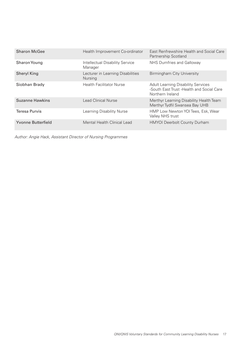| <b>Sharon McGee</b>  | Health Improvement Co-ordinator                     | East Renfrewshire Health and Social Care<br>Partnership Scotland                                            |
|----------------------|-----------------------------------------------------|-------------------------------------------------------------------------------------------------------------|
| Sharon Young         | Intellectual Disability Service<br>Manager          | NHS Dumfries and Galloway                                                                                   |
| <b>Sheryl King</b>   | Lecturer in Learning Disabilities<br><b>Nursing</b> | Birmingham City University                                                                                  |
| Siobhan Brady        | <b>Health Facilitator Nurse</b>                     | <b>Adult Learning Disability Services</b><br>-South East Trust - Health and Social Care<br>Northern Ireland |
| Suzanne Hawkins      | Lead Clinical Nurse                                 | Merthyr Learning Disability Health Team<br>Merthyr Tydfil Swansea Bay UHB                                   |
| <b>Teresa Purvis</b> | Learning Disability Nurse                           | HMP Low Newton YOI Tees, Esk, Wear<br>Valley NHS trust                                                      |
| Yvonne Butterfield   | Mental Health Clinical Lead                         | <b>HMYOI Deerbolt County Durham</b>                                                                         |

*Author: Angie Hack, Assistant Director of Nursing Programmes*